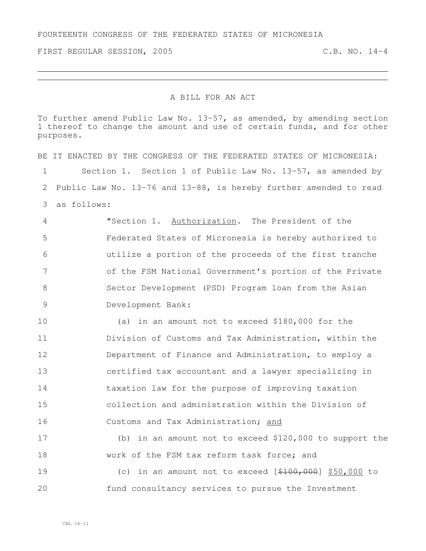FIRST REGULAR SESSION, 2005 C.B. NO. 14-4

## A BILL FOR AN ACT

To further amend Public Law No. 13-57, as amended, by amending section thereof to change the amount and use of certain funds, and for other purposes.

BE IT ENACTED BY THE CONGRESS OF THE FEDERATED STATES OF MICRONESIA: Section 1. Section 1 of Public Law No. 13-57, as amended by Public Law No. 13-76 and 13-88, is hereby further amended to read as follows: "Section 1. Authorization. The President of the Federated States of Micronesia is hereby authorized to utilize a portion of the proceeds of the first tranche of the FSM National Government's portion of the Private Sector Development (PSD) Program loan from the Asian Development Bank: (a) in an amount not to exceed \$180,000 for the Division of Customs and Tax Administration, within the 12 Department of Finance and Administration, to employ a certified tax accountant and a lawyer specializing in taxation law for the purpose of improving taxation collection and administration within the Division of Customs and Tax Administration; and (b) in an amount not to exceed \$120,000 to support the work of the FSM tax reform task force; and 19 (c) in an amount not to exceed  $[$100,000]$  \$50,000 to fund consultancy services to pursue the Investment